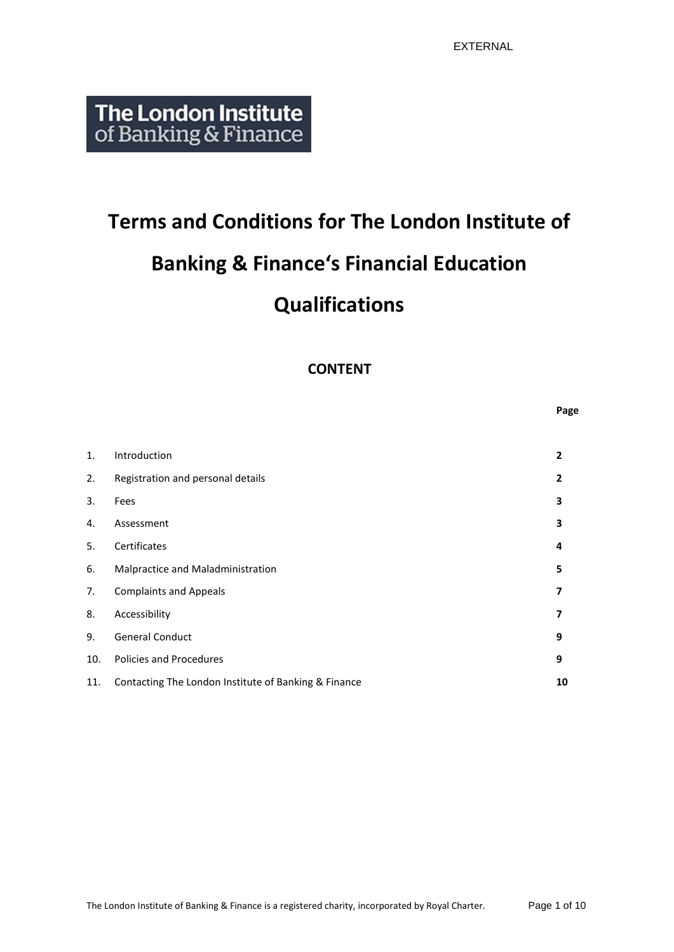**Page**

**The London Institute**<br>of Banking & Finance

# **Terms and Conditions for The London Institute of Banking & Finance's Financial Education Qualifications**

# **CONTENT**

| $\mathbf{1}$ . | Introduction                                         | $\overline{2}$ |
|----------------|------------------------------------------------------|----------------|
| 2.             | Registration and personal details                    | $\mathbf{2}$   |
| 3.             | Fees                                                 | 3              |
| 4.             | Assessment                                           | 3              |
| 5.             | Certificates                                         | 4              |
| 6.             | Malpractice and Maladministration                    | 5              |
| 7.             | <b>Complaints and Appeals</b>                        | 7              |
| 8.             | Accessibility                                        | 7              |
| 9.             | <b>General Conduct</b>                               | 9              |
| 10.            | <b>Policies and Procedures</b>                       | 9              |
| 11.            | Contacting The London Institute of Banking & Finance | 10             |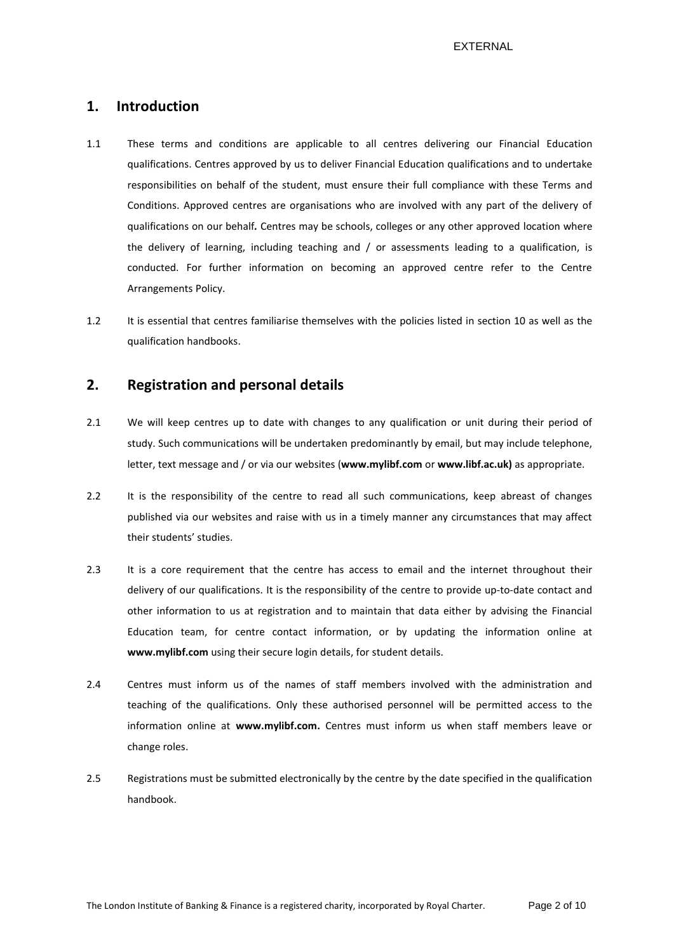# **1. Introduction**

- 1.1 These terms and conditions are applicable to all centres delivering our Financial Education qualifications. Centres approved by us to deliver Financial Education qualifications and to undertake responsibilities on behalf of the student, must ensure their full compliance with these Terms and Conditions. Approved centres are organisations who are involved with any part of the delivery of qualifications on our behalf*.* Centres may be schools, colleges or any other approved location where the delivery of learning, including teaching and / or assessments leading to a qualification, is conducted. For further information on becoming an approved centre refer to the Centre Arrangements Policy.
- 1.2 It is essential that centres familiarise themselves with the policies listed in section 10 as well as the qualification handbooks.

## **2. Registration and personal details**

- 2.1 We will keep centres up to date with changes to any qualification or unit during their period of study. Such communications will be undertaken predominantly by email, but may include telephone, letter, text message and / or via our websites (**www.mylibf.com** or **www.libf.ac.uk)** as appropriate.
- 2.2 It is the responsibility of the centre to read all such communications, keep abreast of changes published via our websites and raise with us in a timely manner any circumstances that may affect their students' studies.
- 2.3 It is a core requirement that the centre has access to email and the internet throughout their delivery of our qualifications. It is the responsibility of the centre to provide up-to-date contact and other information to us at registration and to maintain that data either by advising the Financial Education team, for centre contact information, or by updating the information online at **www.mylibf.com** using their secure login details, for student details.
- 2.4 Centres must inform us of the names of staff members involved with the administration and teaching of the qualifications. Only these authorised personnel will be permitted access to the information online at **www.mylibf.com.** Centres must inform us when staff members leave or change roles.
- 2.5 Registrations must be submitted electronically by the centre by the date specified in the qualification handbook.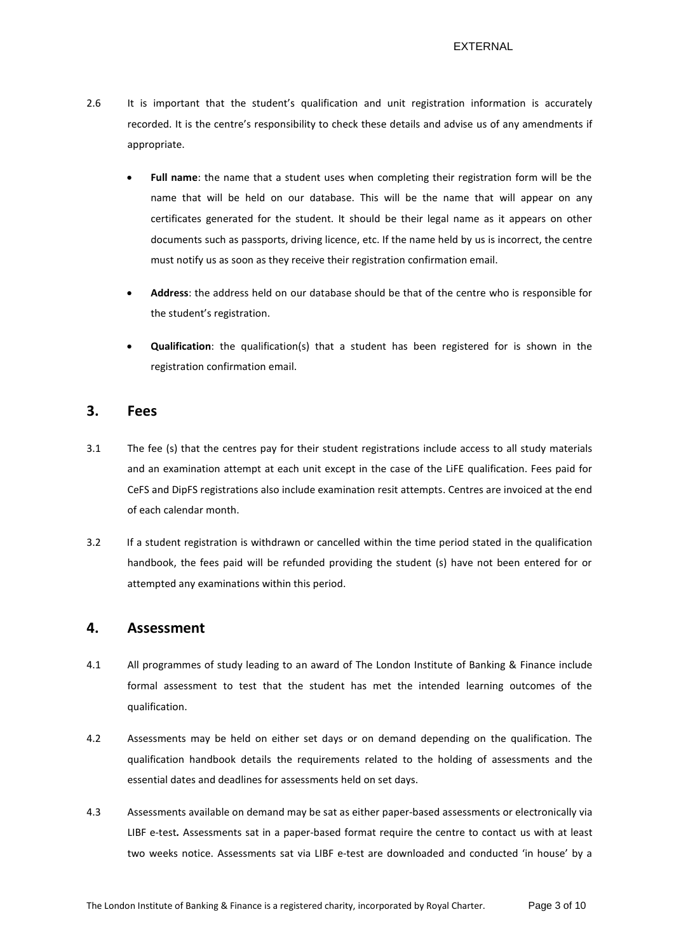- 2.6 It is important that the student's qualification and unit registration information is accurately recorded. It is the centre's responsibility to check these details and advise us of any amendments if appropriate.
	- **Full name**: the name that a student uses when completing their registration form will be the name that will be held on our database. This will be the name that will appear on any certificates generated for the student. It should be their legal name as it appears on other documents such as passports, driving licence, etc. If the name held by us is incorrect, the centre must notify us as soon as they receive their registration confirmation email.
	- **Address**: the address held on our database should be that of the centre who is responsible for the student's registration.
	- **Qualification**: the qualification(s) that a student has been registered for is shown in the registration confirmation email.

## **3. Fees**

- 3.1 The fee (s) that the centres pay for their student registrations include access to all study materials and an examination attempt at each unit except in the case of the LiFE qualification. Fees paid for CeFS and DipFS registrations also include examination resit attempts. Centres are invoiced at the end of each calendar month.
- 3.2 If a student registration is withdrawn or cancelled within the time period stated in the qualification handbook, the fees paid will be refunded providing the student (s) have not been entered for or attempted any examinations within this period.

## **4. Assessment**

- 4.1 All programmes of study leading to an award of The London Institute of Banking & Finance include formal assessment to test that the student has met the intended learning outcomes of the qualification.
- 4.2 Assessments may be held on either set days or on demand depending on the qualification. The qualification handbook details the requirements related to the holding of assessments and the essential dates and deadlines for assessments held on set days.
- 4.3 Assessments available on demand may be sat as either paper-based assessments or electronically via LIBF e-test*.* Assessments sat in a paper-based format require the centre to contact us with at least two weeks notice. Assessments sat via LIBF e-test are downloaded and conducted 'in house' by a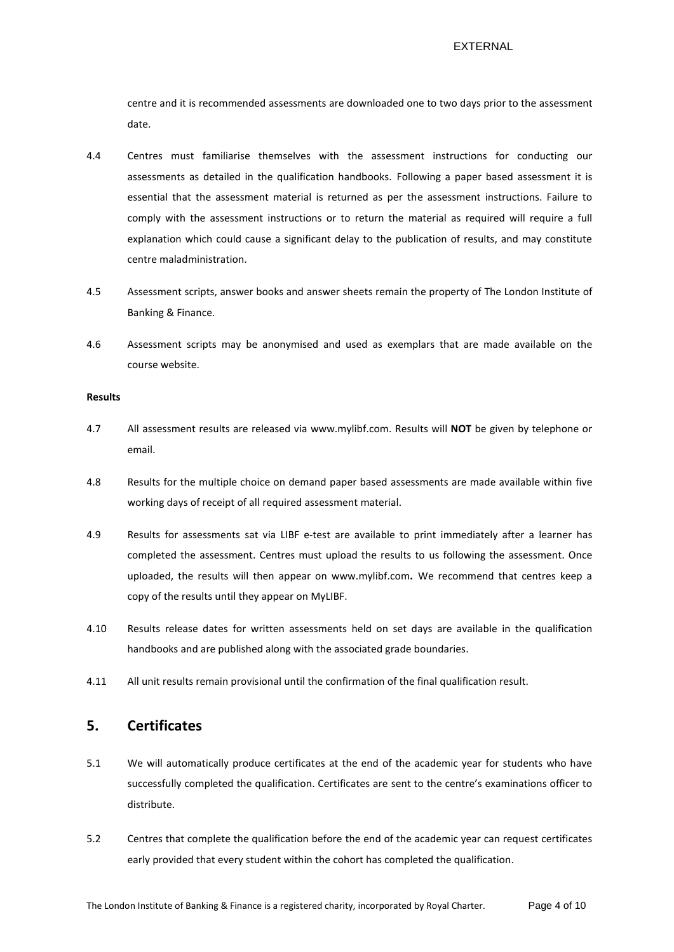## **EXTERNAL**

centre and it is recommended assessments are downloaded one to two days prior to the assessment date.

- 4.4 Centres must familiarise themselves with the assessment instructions for conducting our assessments as detailed in the qualification handbooks. Following a paper based assessment it is essential that the assessment material is returned as per the assessment instructions. Failure to comply with the assessment instructions or to return the material as required will require a full explanation which could cause a significant delay to the publication of results, and may constitute centre maladministration.
- 4.5 Assessment scripts, answer books and answer sheets remain the property of The London Institute of Banking & Finance.
- 4.6 Assessment scripts may be anonymised and used as exemplars that are made available on the course website.

#### **Results**

- 4.7 All assessment results are released via [www.mylibf.com.](http://www.mylibf.com/) Results will **NOT** be given by telephone or email.
- 4.8 Results for the multiple choice on demand paper based assessments are made available within five working days of receipt of all required assessment material.
- 4.9 Results for assessments sat via LIBF e-test are available to print immediately after a learner has completed the assessment. Centres must upload the results to us following the assessment. Once uploaded, the results will then appear on [www.mylibf.com](http://www.mylibf.com/)**.** We recommend that centres keep a copy of the results until they appear on MyLIBF.
- 4.10 Results release dates for written assessments held on set days are available in the qualification handbooks and are published along with the associated grade boundaries.
- 4.11 All unit results remain provisional until the confirmation of the final qualification result.

# **5. Certificates**

- 5.1 We will automatically produce certificates at the end of the academic year for students who have successfully completed the qualification. Certificates are sent to the centre's examinations officer to distribute.
- 5.2 Centres that complete the qualification before the end of the academic year can request certificates early provided that every student within the cohort has completed the qualification.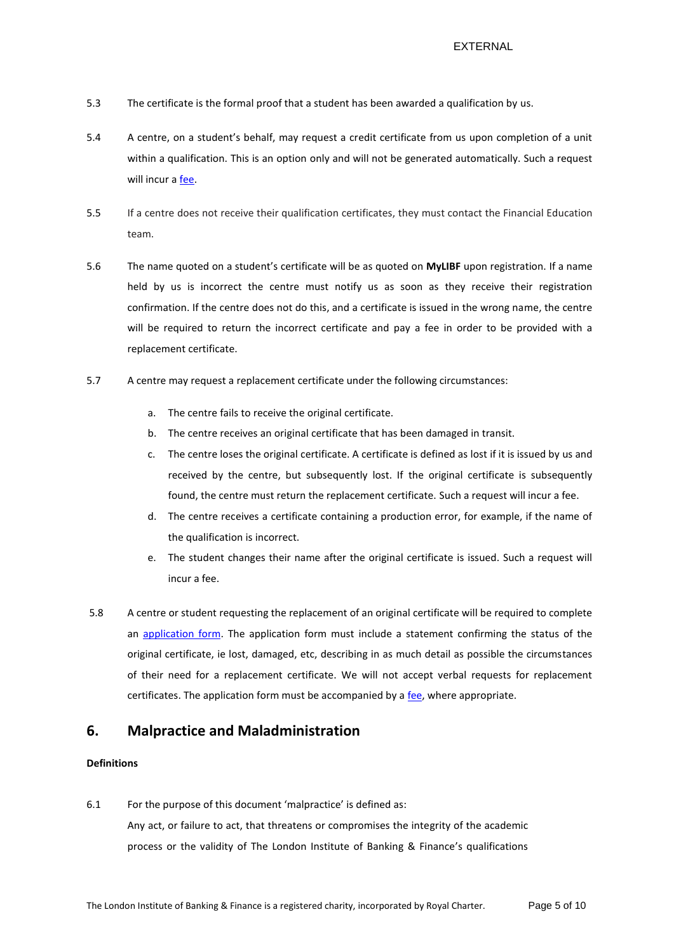- 5.3 The certificate is the formal proof that a student has been awarded a qualification by us.
- 5.4 A centre, on a student's behalf, may request a credit certificate from us upon completion of a unit within a qualification. This is an option only and will not be generated automatically. Such a request will incur a [fee.](https://www.libf.ac.uk/docs/default-source/financial-capability/teacher-exam-officer-information/fc-costs-and-fees-2021-22-v2.pdf?sfvrsn=f4de3b8d_2)
- 5.5 If a centre does not receive their qualification certificates, they must contact the Financial Education team.
- 5.6 The name quoted on a student's certificate will be as quoted on **MyLIBF** upon registration. If a name held by us is incorrect the centre must notify us as soon as they receive their registration confirmation. If the centre does not do this, and a certificate is issued in the wrong name, the centre will be required to return the incorrect certificate and pay a fee in order to be provided with a replacement certificate.
- 5.7 A centre may request a replacement certificate under the following circumstances:
	- a. The centre fails to receive the original certificate.
	- b. The centre receives an original certificate that has been damaged in transit.
	- c. The centre loses the original certificate. A certificate is defined as lost if it is issued by us and received by the centre, but subsequently lost. If the original certificate is subsequently found, the centre must return the replacement certificate. Such a request will incur a fee.
	- d. The centre receives a certificate containing a production error, for example, if the name of the qualification is incorrect.
	- e. The student changes their name after the original certificate is issued. Such a request will incur a fee.
- 5.8 A centre or student requesting the replacement of an original certificate will be required to complete an [application form.](http://www.libf.ac.uk/study/financial-capability/teacher-and-exam-officer-information) The application form must include a statement confirming the status of the original certificate, ie lost, damaged, etc, describing in as much detail as possible the circumstances of their need for a replacement certificate. We will not accept verbal requests for replacement certificates. The application form must be accompanied by a [fee,](http://www.libf.ac.uk/docs/default-source/financial-capability/teacher-exam-officer-information/additional-fees.pdf?sfvrsn=2) where appropriate.

# **6. Malpractice and Maladministration**

#### **Definitions**

6.1 For the purpose of this document 'malpractice' is defined as: Any act, or failure to act, that threatens or compromises the integrity of the academic process or the validity of The London Institute of Banking & Finance's qualifications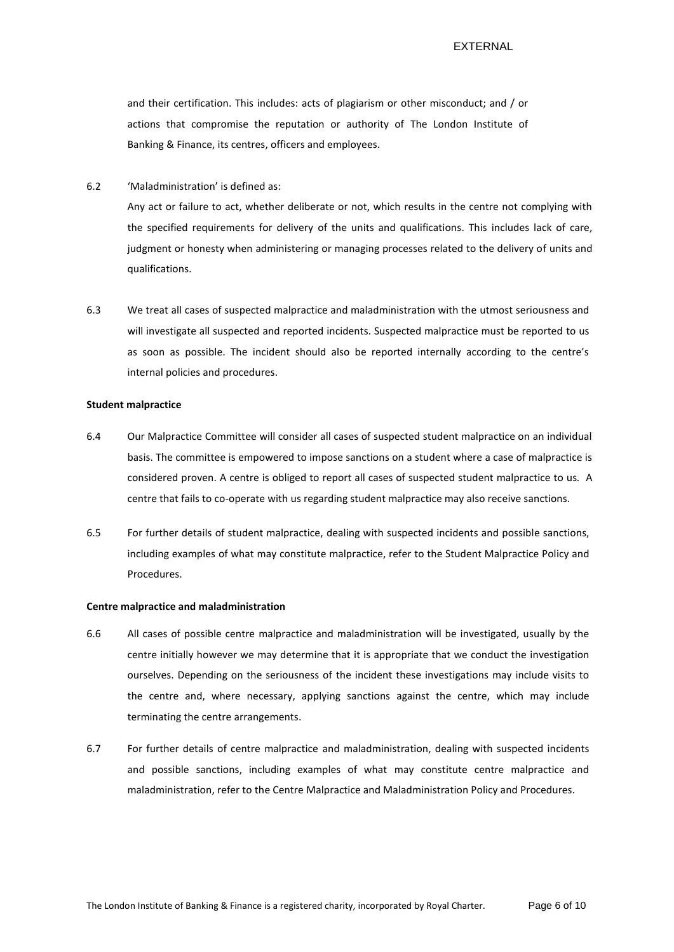#### EXTERNAL

and their certification. This includes: acts of plagiarism or other misconduct; and / or actions that compromise the reputation or authority of The London Institute of Banking & Finance, its centres, officers and employees.

6.2 'Maladministration' is defined as:

Any act or failure to act, whether deliberate or not, which results in the centre not complying with the specified requirements for delivery of the units and qualifications. This includes lack of care, judgment or honesty when administering or managing processes related to the delivery of units and qualifications.

6.3 We treat all cases of suspected malpractice and maladministration with the utmost seriousness and will investigate all suspected and reported incidents. Suspected malpractice must be reported to us as soon as possible. The incident should also be reported internally according to the centre's internal policies and procedures.

#### **Student malpractice**

- 6.4 Our Malpractice Committee will consider all cases of suspected student malpractice on an individual basis. The committee is empowered to impose sanctions on a student where a case of malpractice is considered proven. A centre is obliged to report all cases of suspected student malpractice to us*.* A centre that fails to co-operate with us regarding student malpractice may also receive sanctions.
- 6.5 For further details of student malpractice, dealing with suspected incidents and possible sanctions, including examples of what may constitute malpractice, refer to the Student Malpractice Policy and Procedures.

#### **Centre malpractice and maladministration**

- 6.6 All cases of possible centre malpractice and maladministration will be investigated, usually by the centre initially however we may determine that it is appropriate that we conduct the investigation ourselves. Depending on the seriousness of the incident these investigations may include visits to the centre and, where necessary, applying sanctions against the centre, which may include terminating the centre arrangements.
- 6.7 For further details of centre malpractice and maladministration, dealing with suspected incidents and possible sanctions, including examples of what may constitute centre malpractice and maladministration, refer to the Centre Malpractice and Maladministration Policy and Procedures.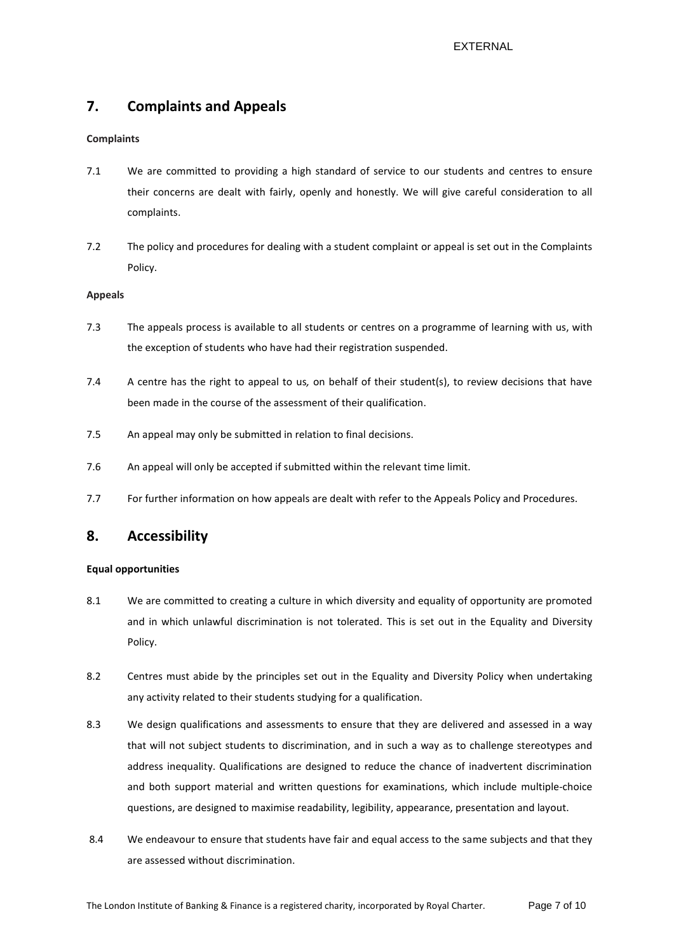# **7. Complaints and Appeals**

#### **Complaints**

- 7.1 We are committed to providing a high standard of service to our students and centres to ensure their concerns are dealt with fairly, openly and honestly. We will give careful consideration to all complaints.
- 7.2 The policy and procedures for dealing with a student complaint or appeal is set out in the Complaints Policy.

#### **Appeals**

- 7.3 The appeals process is available to all students or centres on a programme of learning with us, with the exception of students who have had their registration suspended.
- 7.4 A centre has the right to appeal to us*,* on behalf of their student(s), to review decisions that have been made in the course of the assessment of their qualification.
- 7.5 An appeal may only be submitted in relation to final decisions.
- 7.6 An appeal will only be accepted if submitted within the relevant time limit.
- 7.7 For further information on how appeals are dealt with refer to the Appeals Policy and Procedures.

## **8. Accessibility**

## **Equal opportunities**

- 8.1 We are committed to creating a culture in which diversity and equality of opportunity are promoted and in which unlawful discrimination is not tolerated. This is set out in the Equality and Diversity Policy.
- 8.2 Centres must abide by the principles set out in the Equality and Diversity Policy when undertaking any activity related to their students studying for a qualification.
- 8.3 We design qualifications and assessments to ensure that they are delivered and assessed in a way that will not subject students to discrimination, and in such a way as to challenge stereotypes and address inequality. Qualifications are designed to reduce the chance of inadvertent discrimination and both support material and written questions for examinations, which include multiple-choice questions, are designed to maximise readability, legibility, appearance, presentation and layout.
- 8.4 We endeavour to ensure that students have fair and equal access to the same subjects and that they are assessed without discrimination.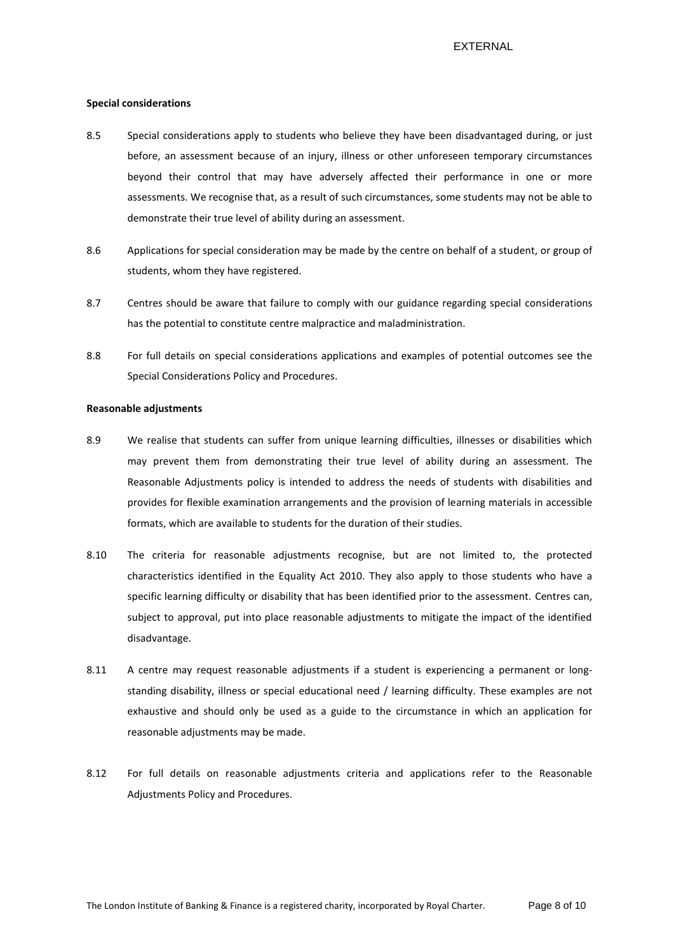#### **Special considerations**

- 8.5 Special considerations apply to students who believe they have been disadvantaged during, or just before, an assessment because of an injury, illness or other unforeseen temporary circumstances beyond their control that may have adversely affected their performance in one or more assessments. We recognise that, as a result of such circumstances, some students may not be able to demonstrate their true level of ability during an assessment.
- 8.6 Applications for special consideration may be made by the centre on behalf of a student, or group of students, whom they have registered.
- 8.7 Centres should be aware that failure to comply with our guidance regarding special considerations has the potential to constitute centre malpractice and maladministration.
- 8.8 For full details on special considerations applications and examples of potential outcomes see the Special Considerations Policy and Procedures.

#### **Reasonable adjustments**

- 8.9 We realise that students can suffer from unique learning difficulties, illnesses or disabilities which may prevent them from demonstrating their true level of ability during an assessment. The Reasonable Adjustments policy is intended to address the needs of students with disabilities and provides for flexible examination arrangements and the provision of learning materials in accessible formats, which are available to students for the duration of their studies.
- 8.10 The criteria for reasonable adjustments recognise, but are not limited to, the protected characteristics identified in the Equality Act 2010. They also apply to those students who have a specific learning difficulty or disability that has been identified prior to the assessment. Centres can, subject to approval, put into place reasonable adjustments to mitigate the impact of the identified disadvantage.
- 8.11 A centre may request reasonable adjustments if a student is experiencing a permanent or longstanding disability, illness or special educational need / learning difficulty. These examples are not exhaustive and should only be used as a guide to the circumstance in which an application for reasonable adjustments may be made.
- 8.12 For full details on reasonable adjustments criteria and applications refer to the Reasonable Adjustments Policy and Procedures.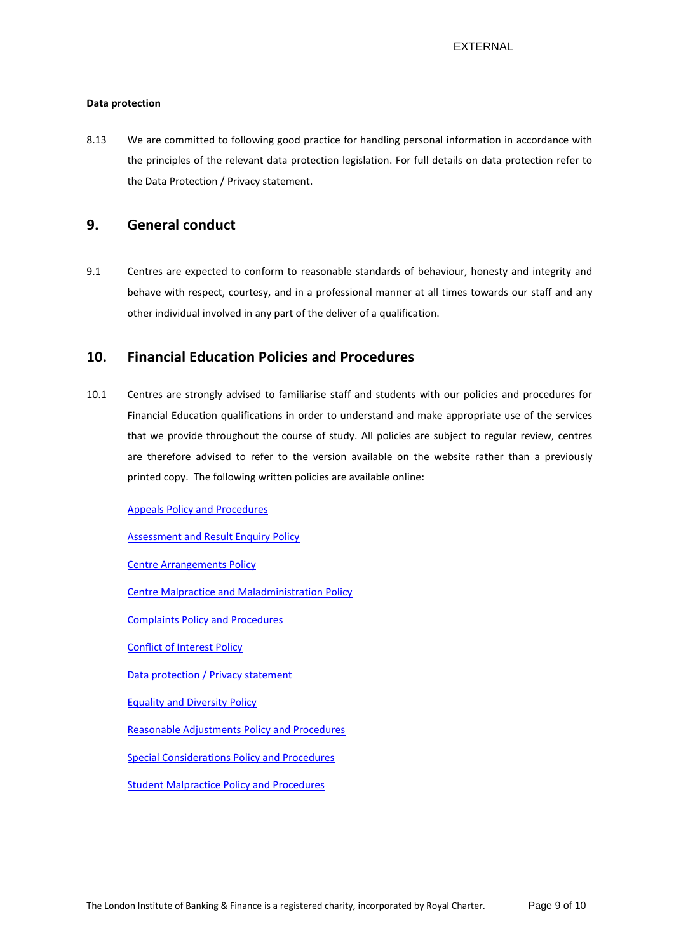#### **Data protection**

8.13 We are committed to following good practice for handling personal information in accordance with the principles of the relevant data protection legislation. For full details on data protection refer to the Data Protection / Privacy statement.

## **9. General conduct**

9.1 Centres are expected to conform to reasonable standards of behaviour, honesty and integrity and behave with respect, courtesy, and in a professional manner at all times towards our staff and any other individual involved in any part of the deliver of a qualification.

## **10. Financial Education Policies and Procedures**

10.1 Centres are strongly advised to familiarise staff and students with our policies and procedures for Financial Education qualifications in order to understand and make appropriate use of the services that we provide throughout the course of study. All policies are subject to regular review, centres are therefore advised to refer to the version available on the website rather than a previously printed copy. The following written policies are available online:

#### [Appeals Policy and Procedures](http://www.libf.ac.uk/docs/default-source/Shared-FC-CPQ-policies/Shared-FC-CPQ-policies/appeals-policy.pdf?sfvrsn=0)

[Assessment and Result Enquiry Policy](http://www.libf.ac.uk/docs/default-source/financial-capability/fc-policies/fc-assessment-result-enquiry-policy.pdf?sfvrsn=2)

[Centre Arrangements Policy](http://www.libf.ac.uk/docs/default-source/Shared-FC-CPQ-policies/centre-arrangements-policy.pdf?sfvrsn=2)

[Centre Malpractice and Maladministration Policy](http://www.libf.ac.uk/docs/default-source/Shared-FC-CPQ-policies/centre-malpractice-and-maladministration-policy.pdf?sfvrsn=2)

[Complaints Policy and Procedures](http://www.libf.ac.uk/docs/default-source/financial-capability/fc-policies/fc-complaints-policy.pdf?sfvrsn=6)

[Conflict of Interest Policy](http://www.libf.ac.uk/docs/default-source/Shared-FC-CPQ-policies/conflict-of-interest-policy.pdf?sfvrsn=2)

[Data protection / Privacy statement](http://www.libf.ac.uk/about-us/data-protection-privacy-cookie-policy)

[Equality and Diversity](http://www.libf.ac.uk/docs/default-source/About-us-docs/equality-and-diversity-policy-2017.pdf?sfvrsn=8) Policy

[Reasonable Adjustments Policy and Procedures](http://www.libf.ac.uk/docs/default-source/financial-capability/fc-policies/fc-reasonable-adjustments-policy.pdf?sfvrsn=2)

[Special Considerations Policy and Procedures](http://www.libf.ac.uk/docs/default-source/financial-capability/fc-policies/fc-special-consideration-policy.pdf?sfvrsn=2)

[Student Malpractice Policy and Procedures](http://www.libf.ac.uk/docs/default-source/financial-capability/fc-policies/fc-student-malpractice-policy.pdf?sfvrsn=2)